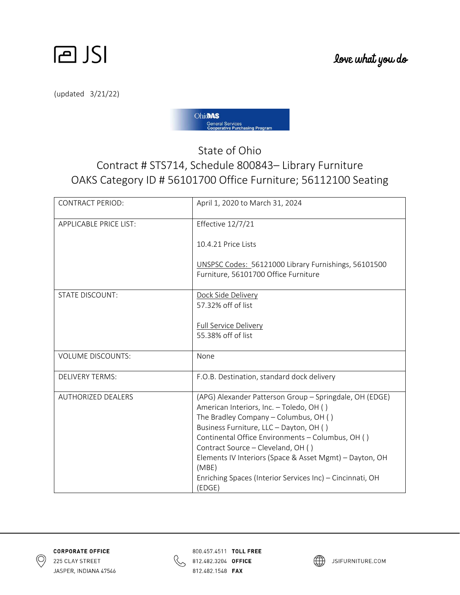



(updated 3/21/22)



## State of Ohio Contract # STS714, Schedule 800843– Library Furniture OAKS Category ID # 56101700 Office Furniture; 56112100 Seating

| <b>CONTRACT PERIOD:</b>       | April 1, 2020 to March 31, 2024                                                                                                                                                                                                                                                                                                                                                                                               |
|-------------------------------|-------------------------------------------------------------------------------------------------------------------------------------------------------------------------------------------------------------------------------------------------------------------------------------------------------------------------------------------------------------------------------------------------------------------------------|
| <b>APPLICABLE PRICE LIST:</b> | Effective 12/7/21                                                                                                                                                                                                                                                                                                                                                                                                             |
|                               | 10.4.21 Price Lists                                                                                                                                                                                                                                                                                                                                                                                                           |
|                               | UNSPSC Codes: 56121000 Library Furnishings, 56101500<br>Furniture, 56101700 Office Furniture                                                                                                                                                                                                                                                                                                                                  |
| <b>STATE DISCOUNT:</b>        | Dock Side Delivery<br>57.32% off of list                                                                                                                                                                                                                                                                                                                                                                                      |
|                               | Full Service Delivery<br>55.38% off of list                                                                                                                                                                                                                                                                                                                                                                                   |
| <b>VOLUME DISCOUNTS:</b>      | None                                                                                                                                                                                                                                                                                                                                                                                                                          |
| <b>DELIVERY TERMS:</b>        | F.O.B. Destination, standard dock delivery                                                                                                                                                                                                                                                                                                                                                                                    |
| <b>AUTHORIZED DEALERS</b>     | (APG) Alexander Patterson Group - Springdale, OH (EDGE)<br>American Interiors, Inc. - Toledo, OH ()<br>The Bradley Company - Columbus, OH ()<br>Business Furniture, LLC - Dayton, OH ()<br>Continental Office Environments - Columbus, OH ()<br>Contract Source - Cleveland, OH ()<br>Elements IV Interiors (Space & Asset Mgmt) - Dayton, OH<br>(MBE)<br>Enriching Spaces (Interior Services Inc) - Cincinnati, OH<br>(EDGE) |





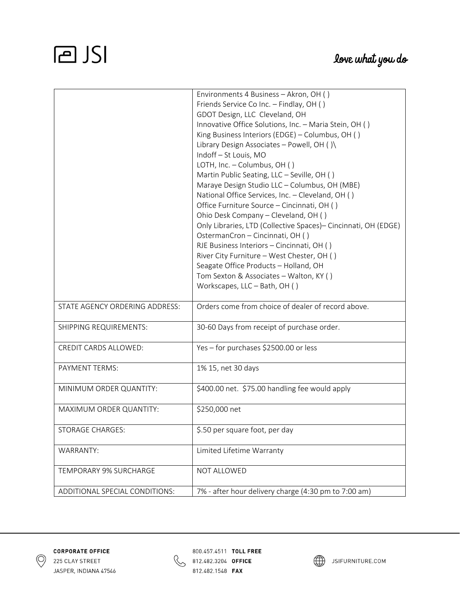## **PJSI**

|                                | Environments 4 Business - Akron, OH ()                          |
|--------------------------------|-----------------------------------------------------------------|
|                                | Friends Service Co Inc. - Findlay, OH ()                        |
|                                | GDOT Design, LLC Cleveland, OH                                  |
|                                | Innovative Office Solutions, Inc. - Maria Stein, OH ()          |
|                                | King Business Interiors (EDGE) - Columbus, OH ()                |
|                                | Library Design Associates - Powell, OH ()\                      |
|                                | Indoff - St Louis, MO                                           |
|                                | LOTH, Inc. - Columbus, OH ()                                    |
|                                | Martin Public Seating, LLC - Seville, OH ()                     |
|                                | Maraye Design Studio LLC - Columbus, OH (MBE)                   |
|                                | National Office Services, Inc. - Cleveland, OH ()               |
|                                | Office Furniture Source - Cincinnati, OH ()                     |
|                                | Ohio Desk Company - Cleveland, OH ()                            |
|                                | Only Libraries, LTD (Collective Spaces) - Cincinnati, OH (EDGE) |
|                                | OstermanCron - Cincinnati, OH ()                                |
|                                | RJE Business Interiors - Cincinnati, OH ()                      |
|                                | River City Furniture - West Chester, OH ()                      |
|                                | Seagate Office Products - Holland, OH                           |
|                                | Tom Sexton & Associates - Walton, KY ()                         |
|                                | Workscapes, LLC - Bath, OH ()                                   |
|                                |                                                                 |
| STATE AGENCY ORDERING ADDRESS: | Orders come from choice of dealer of record above.              |
|                                |                                                                 |
| SHIPPING REQUIREMENTS:         | 30-60 Days from receipt of purchase order.                      |
| CREDIT CARDS ALLOWED:          | Yes - for purchases \$2500.00 or less                           |
|                                |                                                                 |
| PAYMENT TERMS:                 | 1% 15, net 30 days                                              |
|                                |                                                                 |
| MINIMUM ORDER QUANTITY:        | \$400.00 net. \$75.00 handling fee would apply                  |
| MAXIMUM ORDER QUANTITY:        | \$250,000 net                                                   |
|                                |                                                                 |
| <b>STORAGE CHARGES:</b>        | \$.50 per square foot, per day                                  |
|                                |                                                                 |
| WARRANTY:                      | Limited Lifetime Warranty                                       |
| <b>TEMPORARY 9% SURCHARGE</b>  | NOT ALLOWED                                                     |
|                                |                                                                 |
| ADDITIONAL SPECIAL CONDITIONS: | 7% - after hour delivery charge (4:30 pm to 7:00 am)            |